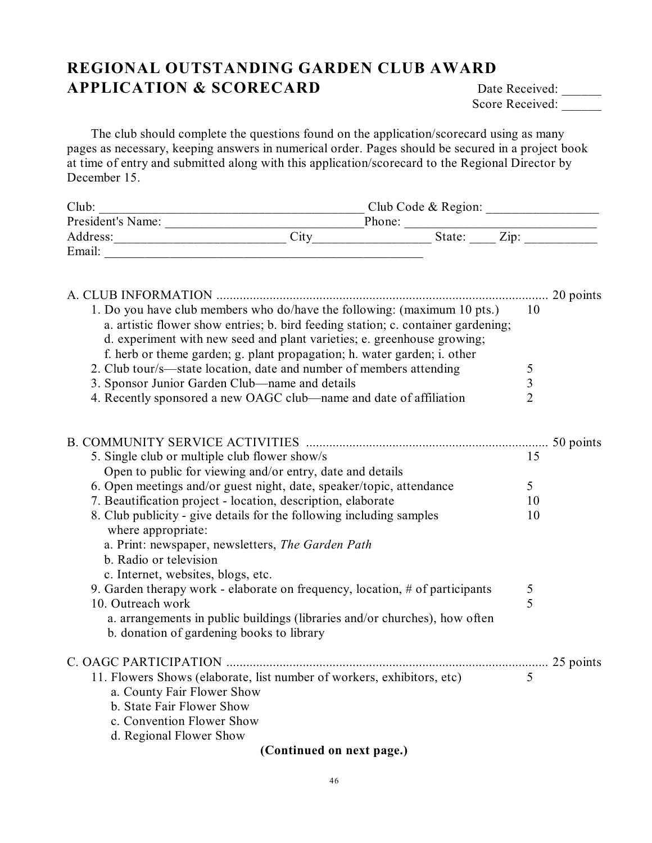## **REGIONAL OUTSTANDING GARDEN CLUB AWARD APPLICATION & SCORECARD** Date Received: \_\_\_\_\_

Score Received:

The club should complete the questions found on the application/scorecard using as many pages as necessary, keeping answers in numerical order. Pages should be secured in a project book at time of entry and submitted along with this application/scorecard to the Regional Director by December 15.

| Club:             | Club Code & Region: |                            |
|-------------------|---------------------|----------------------------|
| President's Name: |                     | Phone:                     |
| Address:          | City                | $\mathrm{Z}$ ip:<br>State: |
| Email:            |                     |                            |

|                                                                                                                         | 20 points      |  |  |
|-------------------------------------------------------------------------------------------------------------------------|----------------|--|--|
| 1. Do you have club members who do/have the following: (maximum 10 pts.)                                                | 10             |  |  |
| a. artistic flower show entries; b. bird feeding station; c. container gardening;                                       |                |  |  |
| d. experiment with new seed and plant varieties; e. greenhouse growing;                                                 |                |  |  |
| f. herb or theme garden; g. plant propagation; h. water garden; i. other                                                |                |  |  |
| 2. Club tour/s—state location, date and number of members attending                                                     | 5              |  |  |
| 3. Sponsor Junior Garden Club-name and details                                                                          | $\overline{3}$ |  |  |
| 4. Recently sponsored a new OAGC club—name and date of affiliation                                                      | $\overline{2}$ |  |  |
|                                                                                                                         |                |  |  |
| 5. Single club or multiple club flower show/s                                                                           | 15             |  |  |
| Open to public for viewing and/or entry, date and details                                                               |                |  |  |
| 6. Open meetings and/or guest night, date, speaker/topic, attendance                                                    | 5              |  |  |
| 7. Beautification project - location, description, elaborate                                                            | 10             |  |  |
| 8. Club publicity - give details for the following including samples<br>where appropriate:                              | 10             |  |  |
| a. Print: newspaper, newsletters, The Garden Path                                                                       |                |  |  |
| b. Radio or television                                                                                                  |                |  |  |
| c. Internet, websites, blogs, etc.                                                                                      |                |  |  |
| 9. Garden therapy work - elaborate on frequency, location, # of participants                                            | 5              |  |  |
| 10. Outreach work                                                                                                       | 5              |  |  |
| a. arrangements in public buildings (libraries and/or churches), how often<br>b. donation of gardening books to library |                |  |  |
|                                                                                                                         |                |  |  |
| 11. Flowers Shows (elaborate, list number of workers, exhibitors, etc)                                                  | 5              |  |  |
| a. County Fair Flower Show                                                                                              |                |  |  |
| b. State Fair Flower Show                                                                                               |                |  |  |
| c. Convention Flower Show                                                                                               |                |  |  |
| d. Regional Flower Show                                                                                                 |                |  |  |
| (Continued on next page.)                                                                                               |                |  |  |